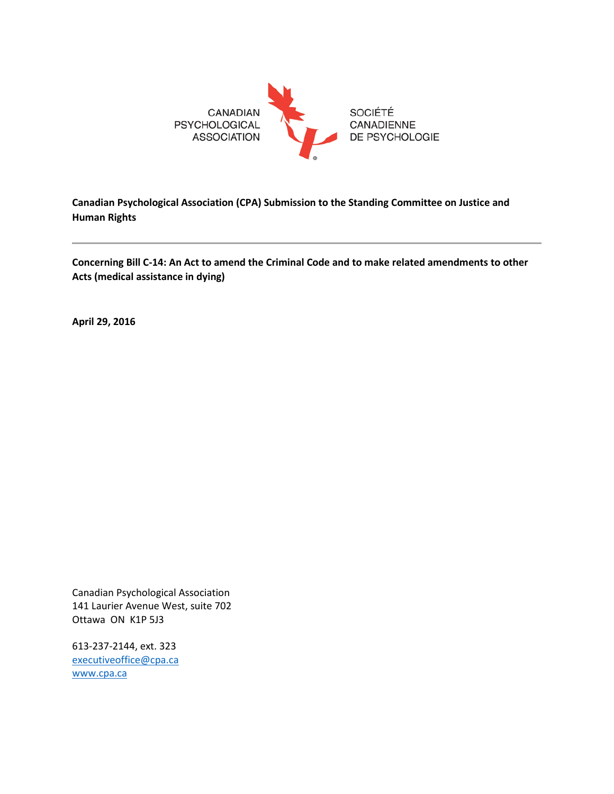

**Canadian Psychological Association (CPA) Submission to the Standing Committee on Justice and Human Rights**

**Concerning Bill C-14: An Act to amend the Criminal Code and to make related amendments to other Acts (medical assistance in dying)**

**April 29, 2016**

Canadian Psychological Association 141 Laurier Avenue West, suite 702 Ottawa ON K1P 5J3

613-237-2144, ext. 323 [executiveoffice@cpa.ca](mailto:executiveoffice@cpa.ca) [www.cpa.ca](http://www.cpa.ca/)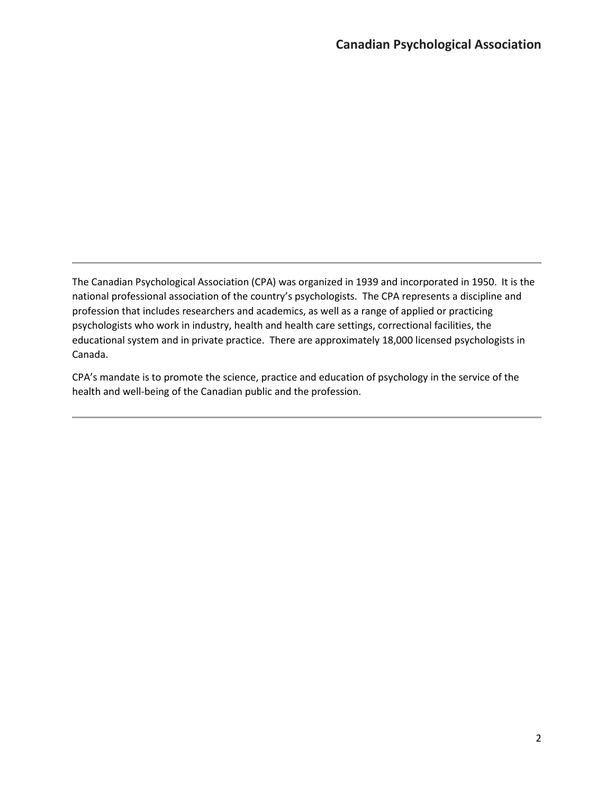The Canadian Psychological Association (CPA) was organized in 1939 and incorporated in 1950. It is the national professional association of the country's psychologists. The CPA represents a discipline and profession that includes researchers and academics, as well as a range of applied or practicing psychologists who work in industry, health and health care settings, correctional facilities, the educational system and in private practice. There are approximately 18,000 licensed psychologists in Canada.

CPA's mandate is to promote the science, practice and education of psychology in the service of the health and well-being of the Canadian public and the profession.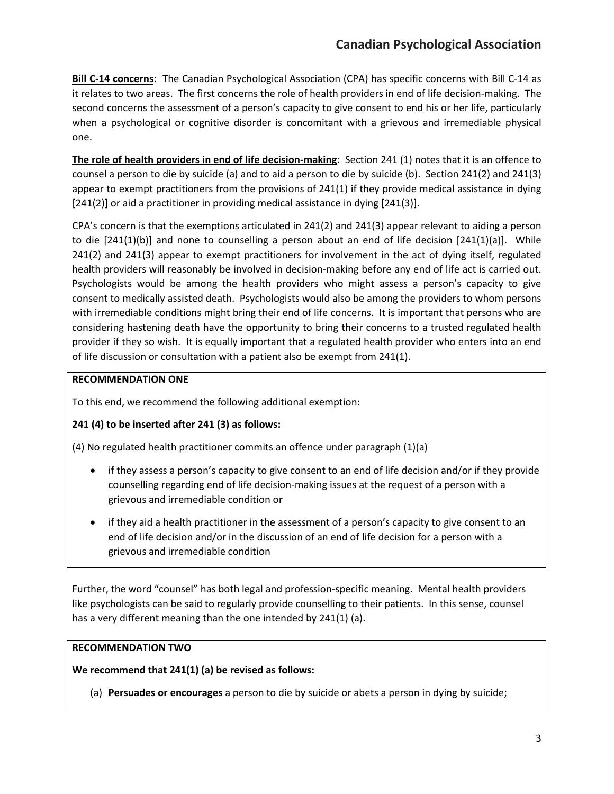# **Canadian Psychological Association**

**Bill C-14 concerns**: The Canadian Psychological Association (CPA) has specific concerns with Bill C-14 as it relates to two areas. The first concerns the role of health providers in end of life decision-making. The second concerns the assessment of a person's capacity to give consent to end his or her life, particularly when a psychological or cognitive disorder is concomitant with a grievous and irremediable physical one.

**The role of health providers in end of life decision-making**: Section 241 (1) notes that it is an offence to counsel a person to die by suicide (a) and to aid a person to die by suicide (b). Section 241(2) and 241(3) appear to exempt practitioners from the provisions of 241(1) if they provide medical assistance in dying [241(2)] or aid a practitioner in providing medical assistance in dying [241(3)].

CPA's concern is that the exemptions articulated in 241(2) and 241(3) appear relevant to aiding a person to die  $[241(1)(b)]$  and none to counselling a person about an end of life decision  $[241(1)(a)]$ . While 241(2) and 241(3) appear to exempt practitioners for involvement in the act of dying itself, regulated health providers will reasonably be involved in decision-making before any end of life act is carried out. Psychologists would be among the health providers who might assess a person's capacity to give consent to medically assisted death. Psychologists would also be among the providers to whom persons with irremediable conditions might bring their end of life concerns. It is important that persons who are considering hastening death have the opportunity to bring their concerns to a trusted regulated health provider if they so wish. It is equally important that a regulated health provider who enters into an end of life discussion or consultation with a patient also be exempt from 241(1).

#### **RECOMMENDATION ONE**

To this end, we recommend the following additional exemption:

## **241 (4) to be inserted after 241 (3) as follows:**

(4) No regulated health practitioner commits an offence under paragraph (1)(a)

- if they assess a person's capacity to give consent to an end of life decision and/or if they provide counselling regarding end of life decision-making issues at the request of a person with a grievous and irremediable condition or
- if they aid a health practitioner in the assessment of a person's capacity to give consent to an end of life decision and/or in the discussion of an end of life decision for a person with a grievous and irremediable condition

Further, the word "counsel" has both legal and profession-specific meaning. Mental health providers like psychologists can be said to regularly provide counselling to their patients. In this sense, counsel has a very different meaning than the one intended by 241(1) (a).

#### **RECOMMENDATION TWO**

**We recommend that 241(1) (a) be revised as follows:**

(a) **Persuades or encourages** a person to die by suicide or abets a person in dying by suicide;